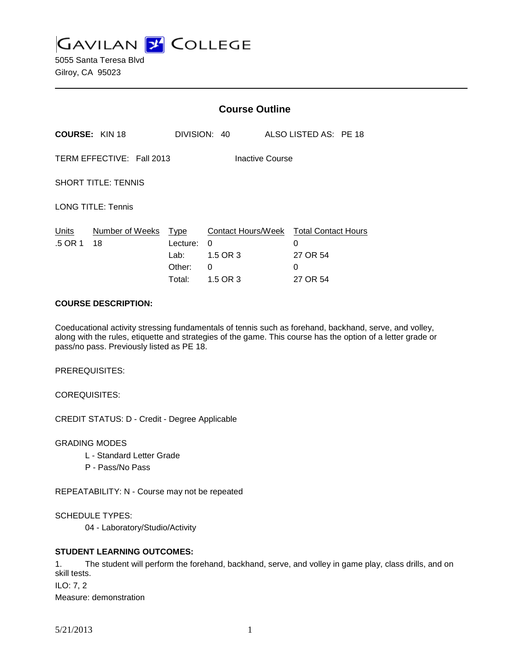**GAVILAN L'OLLEGE** 

5055 Santa Teresa Blvd Gilroy, CA 95023

|                                              |                       | <b>Course Outline</b>                        |                                                      |  |                                                              |  |
|----------------------------------------------|-----------------------|----------------------------------------------|------------------------------------------------------|--|--------------------------------------------------------------|--|
|                                              | <b>COURSE: KIN 18</b> |                                              | DIVISION: 40                                         |  | ALSO LISTED AS: PE 18                                        |  |
| TERM EFFECTIVE: Fall 2013<br>Inactive Course |                       |                                              |                                                      |  |                                                              |  |
| <b>SHORT TITLE: TENNIS</b>                   |                       |                                              |                                                      |  |                                                              |  |
| <b>LONG TITLE: Tennis</b>                    |                       |                                              |                                                      |  |                                                              |  |
| Units<br>.5 OR 1                             | Number of Weeks<br>18 | Type<br>Lecture:<br>Lab:<br>Other:<br>Total: | Contact Hours/Week<br>0<br>1.5 OR 3<br>0<br>1.5 OR 3 |  | <b>Total Contact Hours</b><br>0<br>27 OR 54<br>0<br>27 OR 54 |  |

#### **COURSE DESCRIPTION:**

Coeducational activity stressing fundamentals of tennis such as forehand, backhand, serve, and volley, along with the rules, etiquette and strategies of the game. This course has the option of a letter grade or pass/no pass. Previously listed as PE 18.

PREREQUISITES:

COREQUISITES:

CREDIT STATUS: D - Credit - Degree Applicable

GRADING MODES

- L Standard Letter Grade
- P Pass/No Pass

REPEATABILITY: N - Course may not be repeated

SCHEDULE TYPES:

04 - Laboratory/Studio/Activity

## **STUDENT LEARNING OUTCOMES:**

1. The student will perform the forehand, backhand, serve, and volley in game play, class drills, and on skill tests. ILO: 7, 2 Measure: demonstration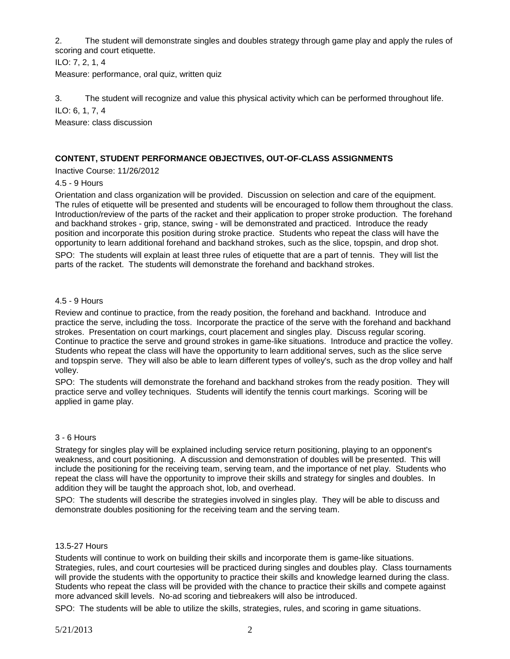2. The student will demonstrate singles and doubles strategy through game play and apply the rules of scoring and court etiquette.

ILO: 7, 2, 1, 4

Measure: performance, oral quiz, written quiz

3. The student will recognize and value this physical activity which can be performed throughout life. ILO: 6, 1, 7, 4

Measure: class discussion

# **CONTENT, STUDENT PERFORMANCE OBJECTIVES, OUT-OF-CLASS ASSIGNMENTS**

Inactive Course: 11/26/2012

### 4.5 - 9 Hours

Orientation and class organization will be provided. Discussion on selection and care of the equipment. The rules of etiquette will be presented and students will be encouraged to follow them throughout the class. Introduction/review of the parts of the racket and their application to proper stroke production. The forehand and backhand strokes - grip, stance, swing - will be demonstrated and practiced. Introduce the ready position and incorporate this position during stroke practice. Students who repeat the class will have the opportunity to learn additional forehand and backhand strokes, such as the slice, topspin, and drop shot. SPO: The students will explain at least three rules of etiquette that are a part of tennis. They will list the parts of the racket. The students will demonstrate the forehand and backhand strokes.

### 4.5 - 9 Hours

Review and continue to practice, from the ready position, the forehand and backhand. Introduce and practice the serve, including the toss. Incorporate the practice of the serve with the forehand and backhand strokes. Presentation on court markings, court placement and singles play. Discuss regular scoring. Continue to practice the serve and ground strokes in game-like situations. Introduce and practice the volley. Students who repeat the class will have the opportunity to learn additional serves, such as the slice serve and topspin serve. They will also be able to learn different types of volley's, such as the drop volley and half volley.

SPO: The students will demonstrate the forehand and backhand strokes from the ready position. They will practice serve and volley techniques. Students will identify the tennis court markings. Scoring will be applied in game play.

#### 3 - 6 Hours

Strategy for singles play will be explained including service return positioning, playing to an opponent's weakness, and court positioning. A discussion and demonstration of doubles will be presented. This will include the positioning for the receiving team, serving team, and the importance of net play. Students who repeat the class will have the opportunity to improve their skills and strategy for singles and doubles. In addition they will be taught the approach shot, lob, and overhead.

SPO: The students will describe the strategies involved in singles play. They will be able to discuss and demonstrate doubles positioning for the receiving team and the serving team.

### 13.5-27 Hours

Students will continue to work on building their skills and incorporate them is game-like situations. Strategies, rules, and court courtesies will be practiced during singles and doubles play. Class tournaments will provide the students with the opportunity to practice their skills and knowledge learned during the class. Students who repeat the class will be provided with the chance to practice their skills and compete against more advanced skill levels. No-ad scoring and tiebreakers will also be introduced.

SPO: The students will be able to utilize the skills, strategies, rules, and scoring in game situations.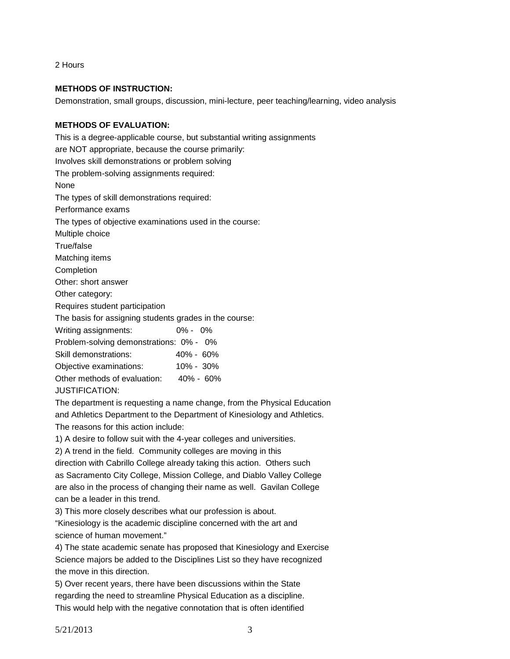2 Hours

## **METHODS OF INSTRUCTION:**

Demonstration, small groups, discussion, mini-lecture, peer teaching/learning, video analysis

### **METHODS OF EVALUATION:**

This is a degree-applicable course, but substantial writing assignments are NOT appropriate, because the course primarily: Involves skill demonstrations or problem solving The problem-solving assignments required: None The types of skill demonstrations required: Performance exams The types of objective examinations used in the course: Multiple choice True/false Matching items **Completion** Other: short answer Other category: Requires student participation The basis for assigning students grades in the course: Writing assignments: 0% - 0% Problem-solving demonstrations: 0% - 0% Skill demonstrations: 40% - 60% Objective examinations: 10% - 30% Other methods of evaluation: 40% - 60%

JUSTIFICATION:

The department is requesting a name change, from the Physical Education and Athletics Department to the Department of Kinesiology and Athletics.

The reasons for this action include:

1) A desire to follow suit with the 4-year colleges and universities.

2) A trend in the field. Community colleges are moving in this

direction with Cabrillo College already taking this action. Others such as Sacramento City College, Mission College, and Diablo Valley College are also in the process of changing their name as well. Gavilan College can be a leader in this trend.

3) This more closely describes what our profession is about.

"Kinesiology is the academic discipline concerned with the art and science of human movement."

4) The state academic senate has proposed that Kinesiology and Exercise Science majors be added to the Disciplines List so they have recognized the move in this direction.

5) Over recent years, there have been discussions within the State regarding the need to streamline Physical Education as a discipline. This would help with the negative connotation that is often identified